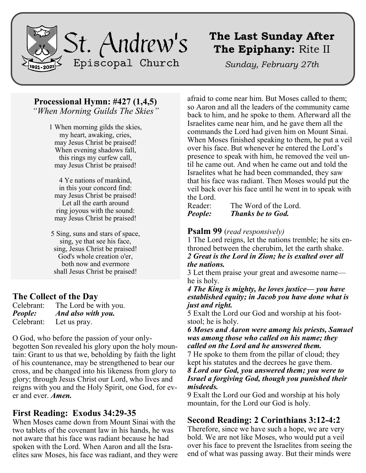

## **The Last Sunday After The Epiphany:** Rite II

*Sunday, February 27th*

### **Processional Hymn: #427 (1,4,5)**

*"When Morning Guilds The Skies"*

1 When morning gilds the skies, my heart, awaking, cries, may Jesus Christ be praised! When evening shadows fall, this rings my curfew call, may Jesus Christ be praised!

4 Ye nations of mankind, in this your concord find: may Jesus Christ be praised! Let all the earth around ring joyous with the sound: may Jesus Christ be praised!

5 Sing, suns and stars of space, sing, ye that see his face, sing, Jesus Christ be praised! God's whole creation o'er, both now and evermore shall Jesus Christ be praised!

### **The Collect of the Day**

| Celebrant:     | The Lord be with you. |
|----------------|-----------------------|
| <b>People:</b> | And also with you.    |
| Celebrant:     | Let us pray.          |

O God, who before the passion of your only-

begotten Son revealed his glory upon the holy mountain: Grant to us that we, beholding by faith the light of his countenance, may be strengthened to bear our cross, and be changed into his likeness from glory to glory; through Jesus Christ our Lord, who lives and reigns with you and the Holy Spirit, one God, for ever and ever. *Amen.*

### **First Reading: Exodus 34:29-35**

When Moses came down from Mount Sinai with the two tablets of the covenant law in his hands, he was not aware that his face was radiant because he had spoken with the Lord. When Aaron and all the Israelites saw Moses, his face was radiant, and they were

afraid to come near him. But Moses called to them; so Aaron and all the leaders of the community came back to him, and he spoke to them. Afterward all the Israelites came near him, and he gave them all the commands the Lord had given him on Mount Sinai. When Moses finished speaking to them, he put a veil over his face. But whenever he entered the Lord's presence to speak with him, he removed the veil until he came out. And when he came out and told the Israelites what he had been commanded, they saw that his face was radiant. Then Moses would put the veil back over his face until he went in to speak with the Lord.

| Reader: | The Word of the Lord.    |
|---------|--------------------------|
| People: | <b>Thanks be to God.</b> |

#### **Psalm 99** (*read responsively)*

1 The Lord reigns, let the nations tremble; he sits enthroned between the cherubim, let the earth shake. *2 Great is the Lord in Zion; he is exalted over all the nations.*

3 Let them praise your great and awesome name he is holy.

*4 The King is mighty, he loves justice— you have established equity; in Jacob you have done what is just and right.*

5 Exalt the Lord our God and worship at his footstool; he is holy.

*6 Moses and Aaron were among his priests, Samuel was among those who called on his name; they called on the Lord and he answered them.*

7 He spoke to them from the pillar of cloud; they kept his statutes and the decrees he gave them. *8 Lord our God, you answered them; you were to Israel a forgiving God, though you punished their* 

#### *misdeeds.*

9 Exalt the Lord our God and worship at his holy mountain, for the Lord our God is holy.

### **Second Reading: 2 Corinthians 3:12-4:2**

Therefore, since we have such a hope, we are very bold. We are not like Moses, who would put a veil over his face to prevent the Israelites from seeing the end of what was passing away. But their minds were